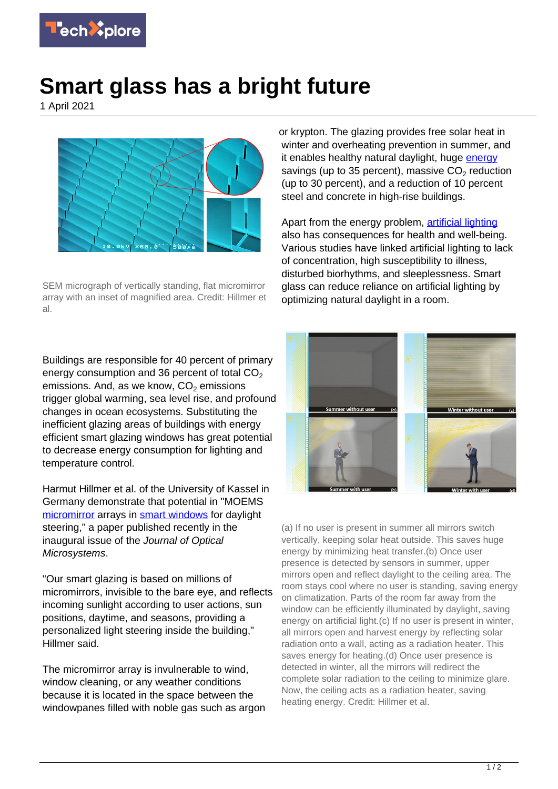

## **Smart glass has a bright future**

1 April 2021



SEM micrograph of vertically standing, flat micromirror array with an inset of magnified area. Credit: Hillmer et al.

Buildings are responsible for 40 percent of primary energy consumption and 36 percent of total  $CO<sub>2</sub>$ emissions. And, as we know,  $\mathsf{CO}_2$  emissions trigger global warming, sea level rise, and profound changes in ocean ecosystems. Substituting the inefficient glazing areas of buildings with energy efficient smart glazing windows has great potential to decrease energy consumption for lighting and temperature control.

Harmut Hillmer et al. of the University of Kassel in Germany demonstrate that potential in "MOEMS [micromirror](https://techxplore.com/tags/micromirror/) arrays in [smart windows](https://techxplore.com/tags/smart+windows/) for daylight steering," a paper published recently in the inaugural issue of the Journal of Optical Microsystems.

"Our smart glazing is based on millions of micromirrors, invisible to the bare eye, and reflects incoming sunlight according to user actions, sun positions, daytime, and seasons, providing a personalized light steering inside the building," Hillmer said.

The micromirror array is invulnerable to wind, window cleaning, or any weather conditions because it is located in the space between the windowpanes filled with noble gas such as argon or krypton. The glazing provides free solar heat in winter and overheating prevention in summer, and it enables healthy natural daylight, huge [energy](https://techxplore.com/tags/energy/) savings (up to 35 percent), massive  $\mathsf{CO}_2$  reduction (up to 30 percent), and a reduction of 10 percent steel and concrete in high-rise buildings.

Apart from the energy problem, [artificial lighting](https://techxplore.com/tags/artificial+lighting/) also has consequences for health and well-being. Various studies have linked artificial lighting to lack of concentration, high susceptibility to illness, disturbed biorhythms, and sleeplessness. Smart glass can reduce reliance on artificial lighting by optimizing natural daylight in a room.



(a) If no user is present in summer all mirrors switch vertically, keeping solar heat outside. This saves huge energy by minimizing heat transfer.(b) Once user presence is detected by sensors in summer, upper mirrors open and reflect daylight to the ceiling area. The room stays cool where no user is standing, saving energy on climatization. Parts of the room far away from the window can be efficiently illuminated by daylight, saving energy on artificial light.(c) If no user is present in winter, all mirrors open and harvest energy by reflecting solar radiation onto a wall, acting as a radiation heater. This saves energy for heating.(d) Once user presence is detected in winter, all the mirrors will redirect the complete solar radiation to the ceiling to minimize glare. Now, the ceiling acts as a radiation heater, saving heating energy. Credit: Hillmer et al.